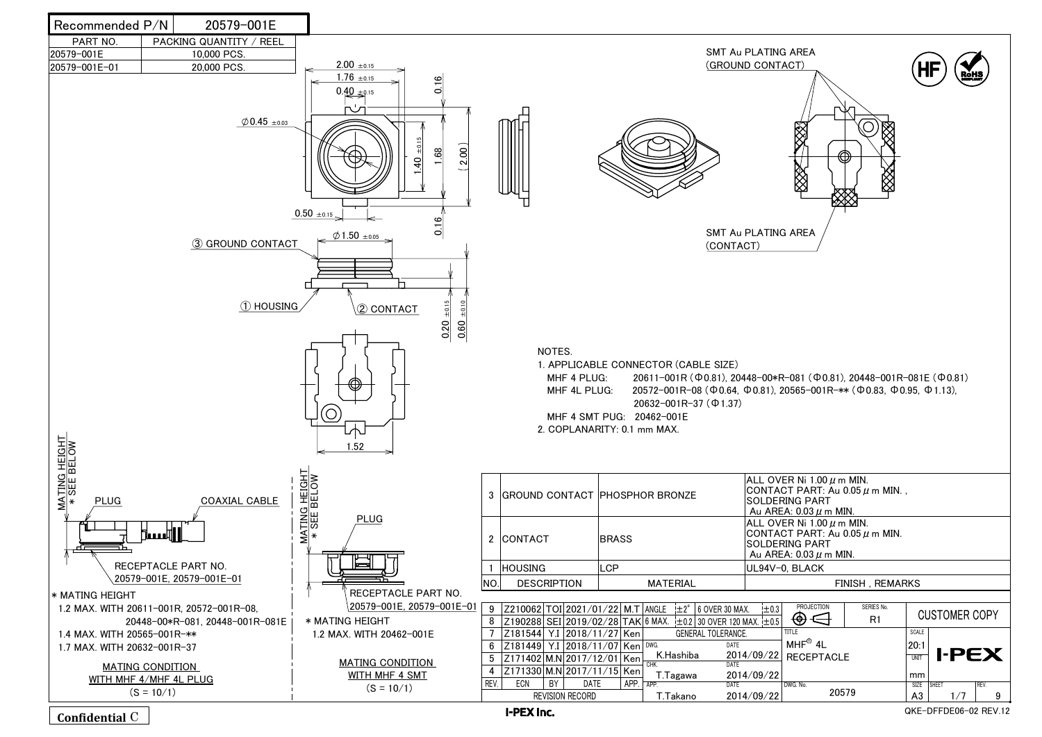I-PEX Inc.

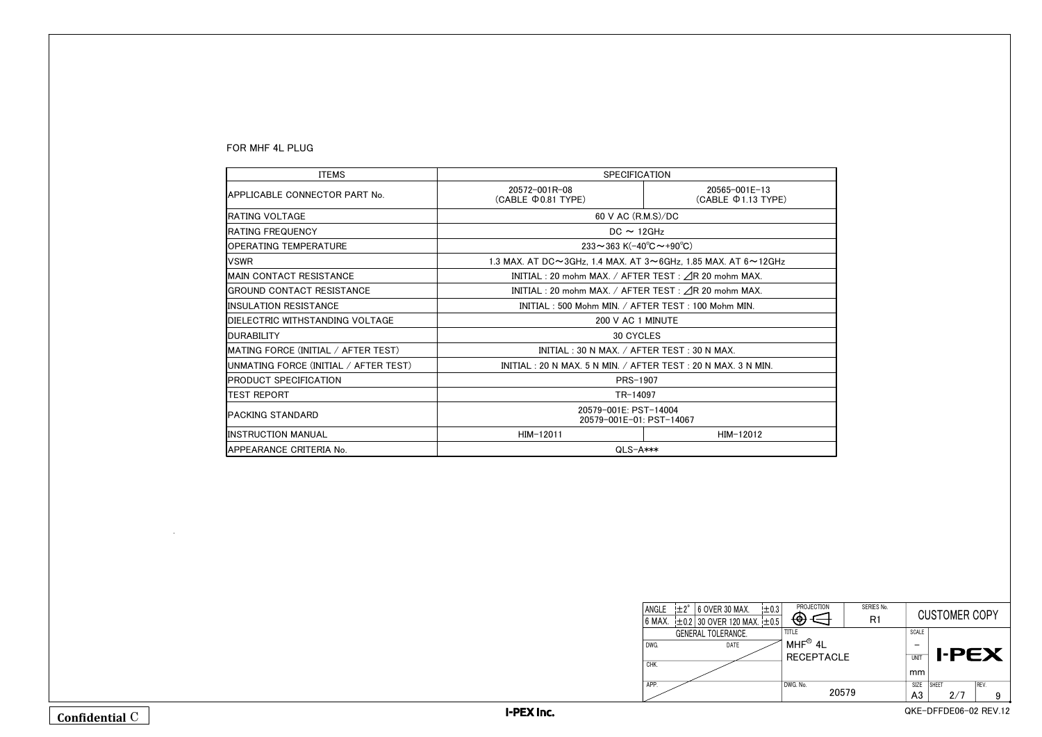| FOR MHF 4L PLUG |  |  |
|-----------------|--|--|
|-----------------|--|--|

| <b>ITEMS</b>                            | <b>SPECIFICATION</b>                                             |                                                 |  |
|-----------------------------------------|------------------------------------------------------------------|-------------------------------------------------|--|
| IAPPLICABLE CONNECTOR PART No.          | $20572 - 001R - 08$<br>(CABLE $\Phi$ 0.81 TYPE)                  | $20565 - 001E - 13$<br>$(CABLE \Phi 1.13 TYPE)$ |  |
| <b>IRATING VOLTAGE</b>                  | 60 V AC (R.M.S)/DC                                               |                                                 |  |
| <b>IRATING FREQUENCY</b>                | $DC \sim 12 GHz$                                                 |                                                 |  |
| <b>IOPERATING TEMPERATURE</b>           | 233~363 K(-40°C~+90°C)                                           |                                                 |  |
| IVSWR                                   | 1.3 MAX. AT DC~3GHz, 1.4 MAX. AT 3~6GHz, 1.85 MAX. AT 6~12GHz    |                                                 |  |
| <b>IMAIN CONTACT RESISTANCE</b>         | INITIAL : 20 mohm MAX. / AFTER TEST : $\triangle$ R 20 mohm MAX. |                                                 |  |
| <b>IGROUND CONTACT RESISTANCE</b>       | INITIAL : 20 mohm MAX. / AFTER TEST : ⊿R 20 mohm MAX.            |                                                 |  |
| <b>IINSULATION RESISTANCE</b>           | INITIAL: 500 Mohm MIN. / AFTER TEST: 100 Mohm MIN.               |                                                 |  |
| <b>IDIELECTRIC WITHSTANDING VOLTAGE</b> | 200 V AC 1 MINUTE                                                |                                                 |  |
| <b>IDURABILITY</b>                      | <b>30 CYCLES</b>                                                 |                                                 |  |
| MATING FORCE (INITIAL / AFTER TEST)     | INITIAL: 30 N MAX. / AFTER TEST: 30 N MAX.                       |                                                 |  |
| UNMATING FORCE (INITIAL / AFTER TEST)   | INITIAL: 20 N MAX, 5 N MIN, / AFTER TEST: 20 N MAX, 3 N MIN,     |                                                 |  |
| <b>IPRODUCT SPECIFICATION</b>           | PRS-1907                                                         |                                                 |  |
| <b>TEST REPORT</b>                      | TR-14097                                                         |                                                 |  |
| IPACKING STANDARD                       | 20579-001E: PST-14004<br>20579-001E-01: PST-14067                |                                                 |  |
| <b>IINSTRUCTION MANUAL</b>              | $HIM-12011$                                                      | $HIM-12012$                                     |  |
| APPEARANCE CRITERIA No.                 | $QLS-A***$                                                       |                                                 |  |

| PROJECTION        | SERIES No.<br>R1 |              | <b>CUSTOMER COPY</b> |              |                       |  |
|-------------------|------------------|--------------|----------------------|--------------|-----------------------|--|
| <b>TITLE</b>      |                  | <b>SCALE</b> |                      |              |                       |  |
| $MHF^®$ 4L        |                  |              |                      | <b>I-PEX</b> |                       |  |
| <b>RECEPTACLE</b> |                  | UNIT         |                      |              |                       |  |
|                   |                  | mm           |                      |              |                       |  |
| DWG. No.          |                  | <b>SIZE</b>  | <b>SHEET</b>         |              | REV.                  |  |
| 20579             |                  | A3           |                      | 2/7          | 9                     |  |
|                   |                  |              |                      |              | QKE-DFFDE06-02 REV.12 |  |

| ANGLE  | $\pm 2^{\circ}$ | 6 OVER 30 MAX.                       | $\pm 0.3$ | PRC        |
|--------|-----------------|--------------------------------------|-----------|------------|
| 6 MAX. |                 | $\pm$ 0.2 30 OVER 120 MAX. $\pm$ 0.5 |           |            |
|        |                 | <b>GENERAL TOLERANCE.</b>            |           | title      |
| DWG.   |                 | DATE                                 |           | <b>MHF</b> |
|        |                 |                                      |           | <b>REC</b> |
| CHK.   |                 |                                      |           |            |
| APP.   |                 |                                      |           | DWG. No.   |
|        |                 |                                      |           |            |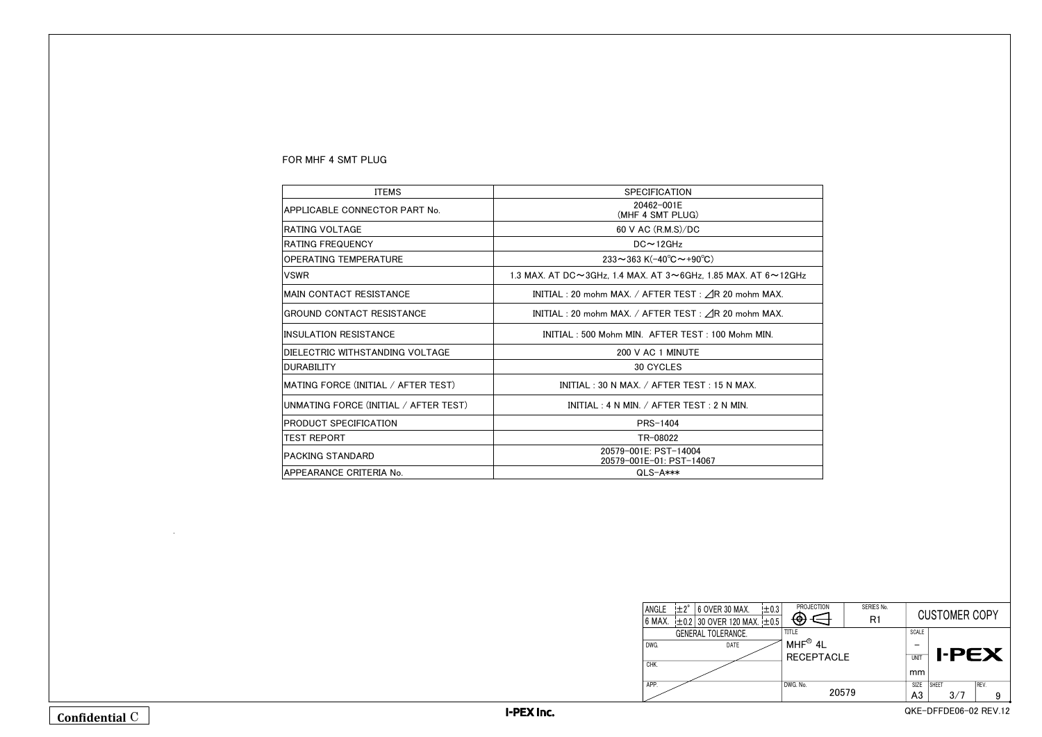| <b>ITEMS</b>                          | <b>SPECIFICATION</b>                                                               |
|---------------------------------------|------------------------------------------------------------------------------------|
| APPLICABLE CONNECTOR PART No.         | 20462-001E<br>(MHF 4 SMT PLUG)                                                     |
| IRATING VOLTAGE                       | 60 V AC (R.M.S)/DC                                                                 |
| IRATING FREQUENCY                     | $DC \sim 12$ GHz                                                                   |
| IOPERATING TEMPERATURE                | 233~363 K(-40°C~+90°C)                                                             |
| IVSWR                                 | 1.3 MAX. AT DC $\sim$ 3GHz, 1.4 MAX. AT 3 $\sim$ 6GHz, 1.85 MAX. AT 6 $\sim$ 12GHz |
| IMAIN CONTACT RESISTANCE              | INITIAL : 20 mohm MAX. / AFTER TEST : $\triangle$ R 20 mohm MAX.                   |
| IGROUND CONTACT RESISTANCE            | INITIAL : 20 mohm MAX. / AFTER TEST : $\triangle$ R 20 mohm MAX.                   |
| IINSULATION RESISTANCE                | INITIAL: 500 Mohm MIN. AFTER TEST: 100 Mohm MIN.                                   |
| IDIELECTRIC WITHSTANDING VOLTAGE      | 200 V AC 1 MINUTE                                                                  |
| <b>IDURABILITY</b>                    | <b>30 CYCLES</b>                                                                   |
| MATING FORCE (INITIAL / AFTER TEST)   | INITIAL: 30 N MAX. / AFTER TEST: 15 N MAX.                                         |
| UNMATING FORCE (INITIAL / AFTER TEST) | INITIAL : 4 N MIN. / AFTER TEST : 2 N MIN.                                         |
| IPRODUCT SPECIFICATION                | <b>PRS-1404</b>                                                                    |
| itest report                          | TR-08022                                                                           |
| IPACKING STANDARD                     | 20579-001E: PST-14004<br>20579-001E-01: PST-14067                                  |
| APPEARANCE CRITERIA No.               | QLS-A***                                                                           |

| <b>PROJECTION</b>    | SERIES No.<br>R1 | <b>CUSTOMER COPY</b> |                       |      |  |
|----------------------|------------------|----------------------|-----------------------|------|--|
| <b>TITLE</b>         |                  | <b>SCALE</b>         |                       |      |  |
| $MHF^{\circledR}$ 4L |                  |                      |                       |      |  |
| <b>RECEPTACLE</b>    |                  | UNIT                 | <b>I-PEX</b>          |      |  |
|                      |                  | mm                   |                       |      |  |
| DWG. No.             |                  | <b>SIZE</b>          | <b>SHEET</b>          | REV. |  |
| 20579                | A <sub>3</sub>   | 3/7                  | 9                     |      |  |
|                      |                  |                      | QKE-DFFDE06-02 REV.12 |      |  |

| ANGLE  | $\pm 2^{\circ}$ | 6 OVER 30 MAX.                       | ±0.3 | PRC          |
|--------|-----------------|--------------------------------------|------|--------------|
| 6 MAX. |                 | $\pm$ 0.2 30 OVER 120 MAX. $\pm$ 0.5 |      |              |
|        |                 | <b>GENERAL TOLERANCE.</b>            |      | <b>TITLE</b> |
| DWG.   |                 | <b>DATE</b>                          |      | <b>MHF</b>   |
|        |                 |                                      |      | <b>REC</b>   |
| CHK.   |                 |                                      |      |              |
| APP.   |                 |                                      |      | DWG. No.     |
|        |                 |                                      |      |              |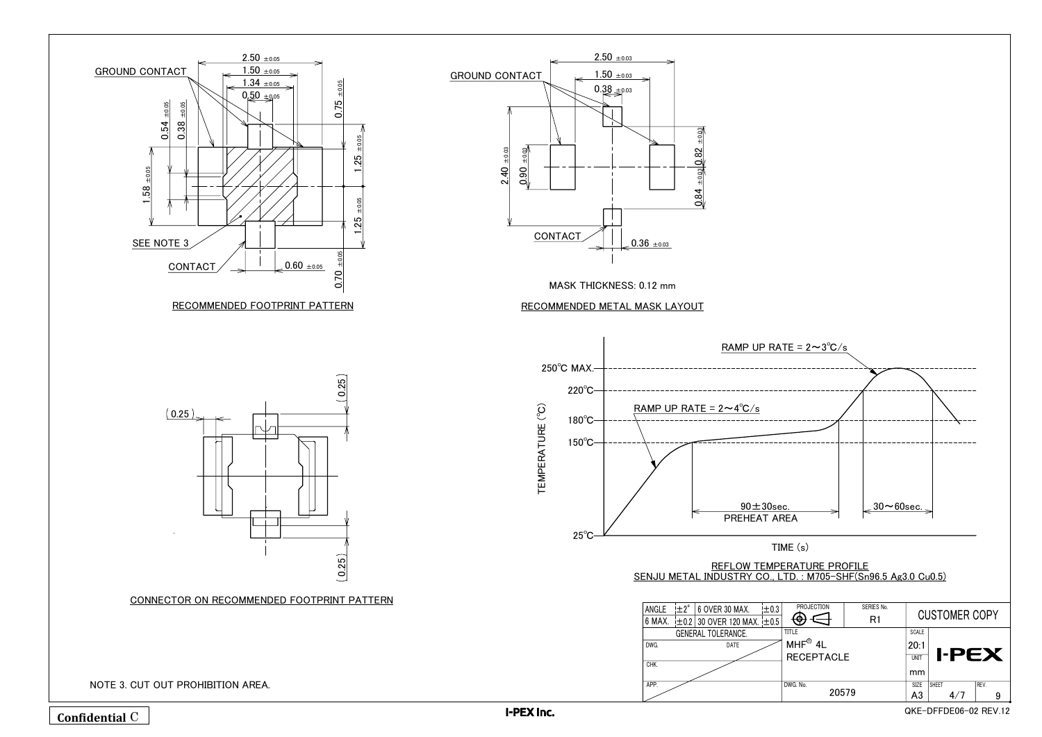| REFLOW TEMPERATURE PROFILE                                   |  |
|--------------------------------------------------------------|--|
| SENJU METAL INDUSTRY CO., LTD.: M705-SHF(Sn96.5 Ag3.0 Cu0.5) |  |
|                                                              |  |



TIME (s)

| <b>PROJECTION</b>    | SERIES No.<br>R1 | <b>CUSTOMER COPY</b> |              |   |                       |
|----------------------|------------------|----------------------|--------------|---|-----------------------|
| <b>TITLE</b>         |                  | <b>SCALE</b>         |              |   |                       |
| $MHF^{\circledR}$ 4L |                  | 20:1                 |              |   |                       |
| <b>RECEPTACLE</b>    |                  | <b>UNIT</b>          |              |   | <b>I-PEX</b>          |
|                      |                  | mm                   |              |   |                       |
| DWG. No.             |                  | <b>SIZE</b>          | <b>SHEET</b> |   | REV.                  |
| 20579                | A3               |                      | 4/7          | 9 |                       |
|                      |                  |                      |              |   | QKE-DFFDE06-02 REV.12 |

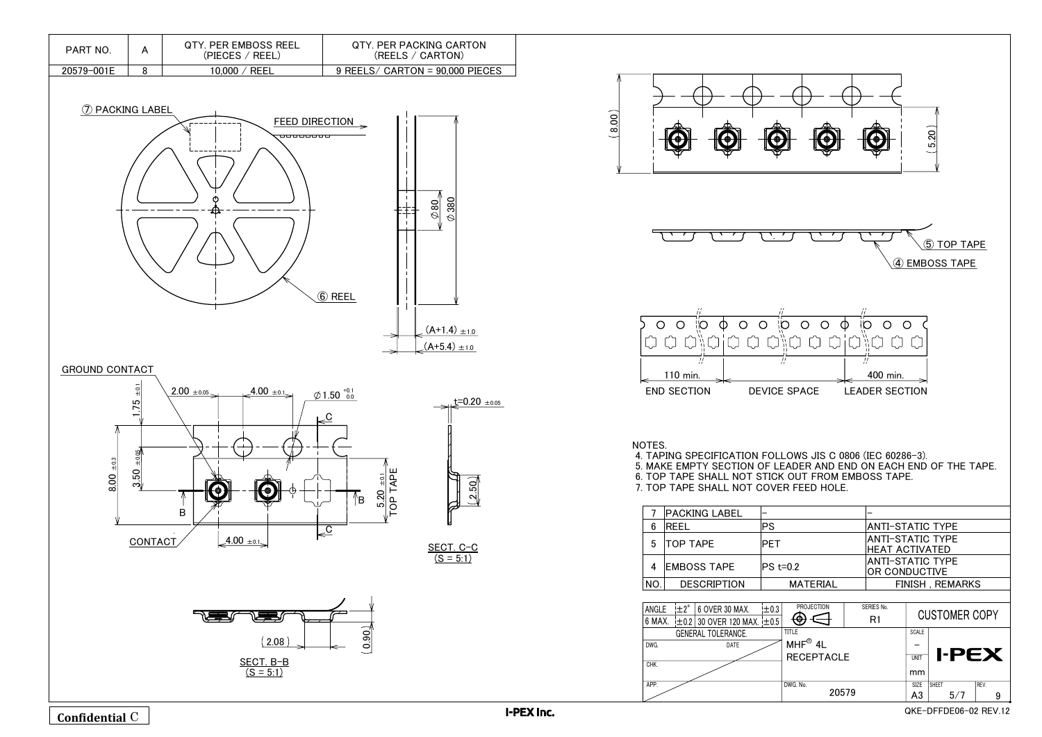







- 
- 

|     | <b>PACKING LABEL</b> |        |
|-----|----------------------|--------|
| 6   | REEL                 | PS     |
| 5   | <b>TOP TAPE</b>      | PFT    |
| 4   | <b>EMBOSS TAPE</b>   | lPS t= |
| NO. | <b>DESCRIPTION</b>   |        |
|     |                      |        |

| ANGLE  | $! \pm 2^{\circ}$ | 6 OVER 30 MAX.                       | $\pm 0.3$ |   |
|--------|-------------------|--------------------------------------|-----------|---|
| 6 MAX. |                   | $\pm$ 0.2 30 OVER 120 MAX. $\pm$ 0.5 |           |   |
|        |                   | <b>GENERAL TOLERANCE.</b>            |           | П |
| DWG.   |                   | DATE                                 |           |   |
|        |                   |                                      |           |   |
| CHK.   |                   |                                      |           |   |
| APP.   |                   |                                      |           | D |



## GROUND CONTACT



| PART NO.   | QTY. PER EMBOSS REEL<br>(PIECES / REEL) | OTY, PER PACKING CARTON<br>(REELS / CARTON) |  |
|------------|-----------------------------------------|---------------------------------------------|--|
| 20579-001E | REEL<br>10.000                          | $9$ REELS/ CARTON = $90,000$ PIECES         |  |

 $\phi$ 80  $\oslash$  380

 $(A+1.4)$   $\pm$ 1.0  $(A+5.4) \pm 1.0$ 

 $(2.50)$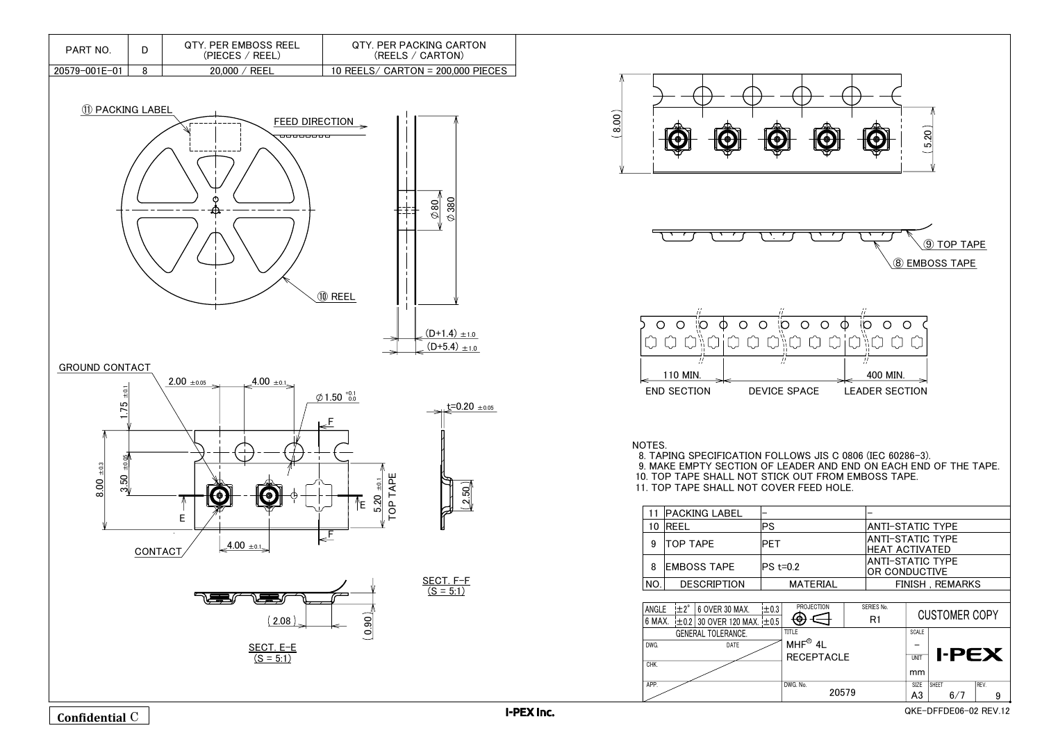$\oslash$  380



SECT. F-F  $(S = 5:1)$ 







| 11  | <b>PACKING LABEL</b> |        |
|-----|----------------------|--------|
| 10  | <b>IRFFI</b>         | PS     |
| 9   | <b>TOP TAPE</b>      | PET    |
| 8   | <b>EMBOSS TAPE</b>   | lPS t= |
| NO. | <b>DESCRIPTION</b>   |        |
|     |                      |        |

| ANGLE  | $\pm 2^{\circ}$    | 6 OVER 30 MAX.                       | ±0.3 |   |  |
|--------|--------------------|--------------------------------------|------|---|--|
| 6 MAX. |                    | $\pm$ 0.2 30 OVER 120 MAX. $\pm$ 0.5 |      |   |  |
|        | GENERAL TOLERANCE. |                                      |      |   |  |
| DWG.   |                    | DATE                                 |      |   |  |
|        |                    |                                      |      |   |  |
| CHK.   |                    |                                      |      |   |  |
| APP.   |                    |                                      |      | D |  |
|        |                    |                                      |      |   |  |







| <b>PART NO</b> | QTY. PER EMBOSS REEL<br>(PIECES / REEL) | <b>QTY. PER PACKING CARTON</b><br>(REELS / CARTON) |  |
|----------------|-----------------------------------------|----------------------------------------------------|--|
| 20579-001E-01  | <b>REEL</b><br>20.000                   | 10 REELS/ CARTON = $200,000$ PIECES                |  |